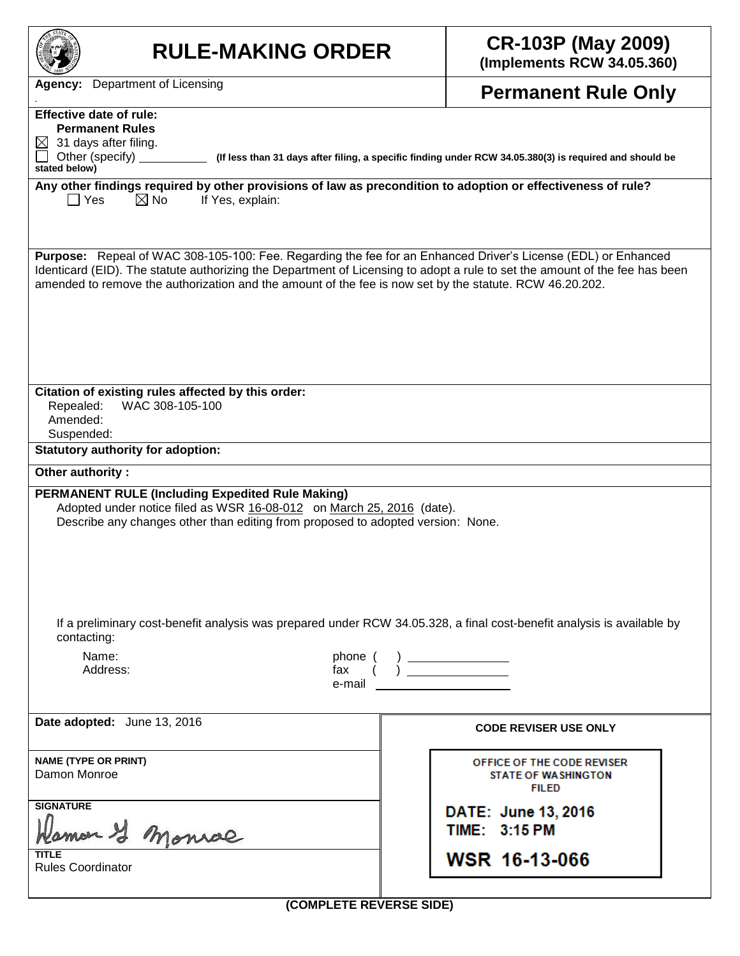| <b>RULE-MAKING ORDER</b>                                                                                                                                                                                                                                                                                                                                     | <b>CR-103P (May 2009)</b><br>(Implements RCW 34.05.360)                  |  |  |  |
|--------------------------------------------------------------------------------------------------------------------------------------------------------------------------------------------------------------------------------------------------------------------------------------------------------------------------------------------------------------|--------------------------------------------------------------------------|--|--|--|
| Department of Licensing<br>Agency:                                                                                                                                                                                                                                                                                                                           | <b>Permanent Rule Only</b>                                               |  |  |  |
| <b>Effective date of rule:</b><br><b>Permanent Rules</b><br>$\boxtimes$ 31 days after filing.<br>Other (specify)<br>(If less than 31 days after filing, a specific finding under RCW 34.05.380(3) is required and should be<br>stated below)<br>Any other findings required by other provisions of law as precondition to adoption or effectiveness of rule? |                                                                          |  |  |  |
| $\boxtimes$ No<br>  Yes<br>If Yes, explain:<br>Purpose: Repeal of WAC 308-105-100: Fee. Regarding the fee for an Enhanced Driver's License (EDL) or Enhanced                                                                                                                                                                                                 |                                                                          |  |  |  |
| Identicard (EID). The statute authorizing the Department of Licensing to adopt a rule to set the amount of the fee has been<br>amended to remove the authorization and the amount of the fee is now set by the statute. RCW 46.20.202.                                                                                                                       |                                                                          |  |  |  |
| Citation of existing rules affected by this order:<br>WAC 308-105-100<br>Repealed:<br>Amended:<br>Suspended:                                                                                                                                                                                                                                                 |                                                                          |  |  |  |
| <b>Statutory authority for adoption:</b><br>Other authority:                                                                                                                                                                                                                                                                                                 |                                                                          |  |  |  |
| <b>PERMANENT RULE (Including Expedited Rule Making)</b><br>Adopted under notice filed as WSR 16-08-012 on March 25, 2016 (date).<br>Describe any changes other than editing from proposed to adopted version: None.                                                                                                                                          |                                                                          |  |  |  |
| If a preliminary cost-benefit analysis was prepared under RCW 34.05.328, a final cost-benefit analysis is available by<br>contacting:<br>Name:<br>phone (<br>Address:<br>e-mail                                                                                                                                                                              |                                                                          |  |  |  |
| Date adopted: June 13, 2016                                                                                                                                                                                                                                                                                                                                  | <b>CODE REVISER USE ONLY</b>                                             |  |  |  |
| <b>NAME (TYPE OR PRINT)</b><br>Damon Monroe                                                                                                                                                                                                                                                                                                                  | OFFICE OF THE CODE REVISER<br><b>STATE OF WASHINGTON</b><br><b>FILED</b> |  |  |  |
| <b>SIGNATURE</b><br>mar I monrae                                                                                                                                                                                                                                                                                                                             | DATE: June 13, 2016<br>TIME: 3:15 PM                                     |  |  |  |
| <b>TITLE</b><br><b>Rules Coordinator</b>                                                                                                                                                                                                                                                                                                                     | WSR 16-13-066                                                            |  |  |  |
| (COMPLETE REVERSE SIDE)                                                                                                                                                                                                                                                                                                                                      |                                                                          |  |  |  |